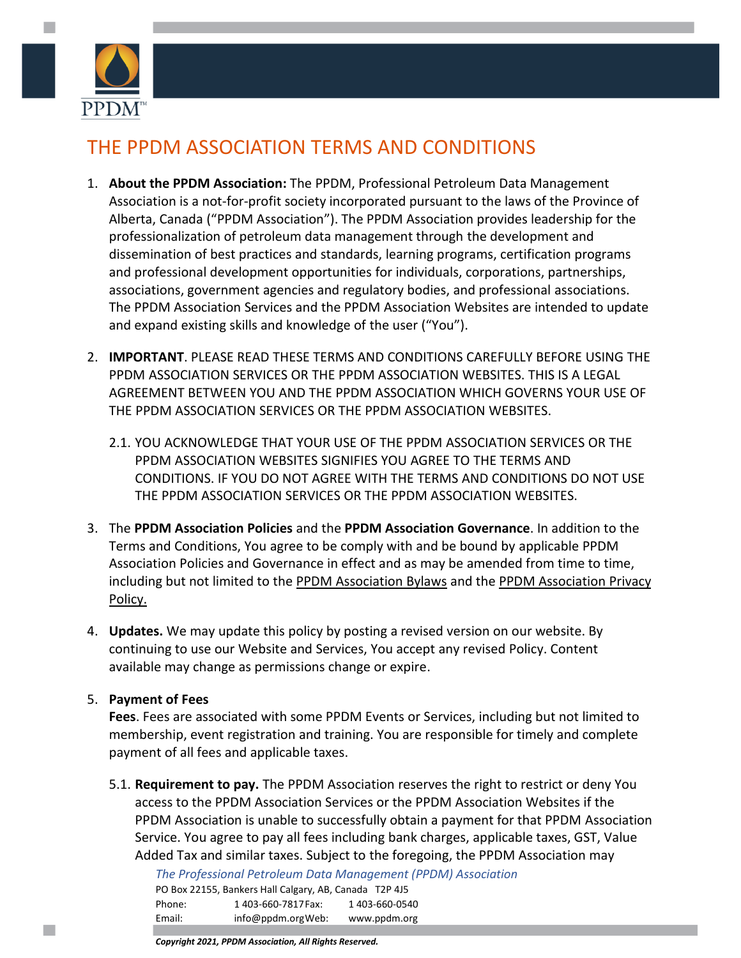

# THE PPDM ASSOCIATION TERMS AND CONDITIONS

- 1. **About the PPDM Association:** The PPDM, Professional Petroleum Data Management Association is a not-for-profit society incorporated pursuant to the laws of the Province of Alberta, Canada ("PPDM Association"). The PPDM Association provides leadership for the professionalization of petroleum data management through the development and dissemination of best practices and standards, learning programs, certification programs and professional development opportunities for individuals, corporations, partnerships, associations, government agencies and regulatory bodies, and professional associations. The PPDM Association Services and the PPDM Association Websites are intended to update and expand existing skills and knowledge of the user ("You").
- 2. **IMPORTANT**. PLEASE READ THESE TERMS AND CONDITIONS CAREFULLY BEFORE USING THE PPDM ASSOCIATION SERVICES OR THE PPDM ASSOCIATION WEBSITES. THIS IS A LEGAL AGREEMENT BETWEEN YOU AND THE PPDM ASSOCIATION WHICH GOVERNS YOUR USE OF THE PPDM ASSOCIATION SERVICES OR THE PPDM ASSOCIATION WEBSITES.
	- 2.1. YOU ACKNOWLEDGE THAT YOUR USE OF THE PPDM ASSOCIATION SERVICES OR THE PPDM ASSOCIATION WEBSITES SIGNIFIES YOU AGREE TO THE TERMS AND CONDITIONS. IF YOU DO NOT AGREE WITH THE TERMS AND CONDITIONS DO NOT USE THE PPDM ASSOCIATION SERVICES OR THE PPDM ASSOCIATION WEBSITES.
- 3. The **PPDM Association Policies** and the **PPDM Association Governance**. In addition to the Terms and Conditions, You agree to be comply with and be bound by applicable PPDM Association Policies and Governance in effect and as may be amended from time to time, including but not limited to th[e PPDM Association](https://ppdm.org/ppdm/PPDM/About_Us/Legal_Governance/PPDM_Association_ByLaws/PPDM/PPDM_Association_ByLaws.aspx) Bylaws and [the PPDM Association Privacy](https://ppdm.org/ppdm/PPDM/About_Us/Legal_Governance/Policies/PPDM_Privacy_Policy/PPDM/PPDM_Privacy_Policy.aspx)  [Policy.](https://ppdm.org/ppdm/PPDM/About_Us/Legal_Governance/Policies/PPDM_Privacy_Policy/PPDM/PPDM_Privacy_Policy.aspx)
- 4. **Updates.** We may update this policy by posting a revised version on our website. By continuing to use our Website and Services, You accept any revised Policy. Content available may change as permissions change or expire.

# 5. **Payment of Fees**

**Fees**. Fees are associated with some PPDM Events or Services, including but not limited to membership, event registration and training. You are responsible for timely and complete payment of all fees and applicable taxes.

5.1. **Requirement to pay.** The PPDM Association reserves the right to restrict or deny You access to the PPDM Association Services or the PPDM Association Websites if the PPDM Association is unable to successfully obtain a payment for that PPDM Association Service. You agree to pay all fees including bank charges, applicable taxes, GST, Value Added Tax and similar taxes. Subject to the foregoing, the PPDM Association may

*The Professional Petroleum Data Management (PPDM) Association*

|        | PO Box 22155, Bankers Hall Calgary, AB, Canada T2P 4J5 |                |
|--------|--------------------------------------------------------|----------------|
| Phone: | 1403-660-7817 Fax:                                     | 1 403-660-0540 |
| Email: | info@ppdm.orgWeb:                                      | www.ppdm.org   |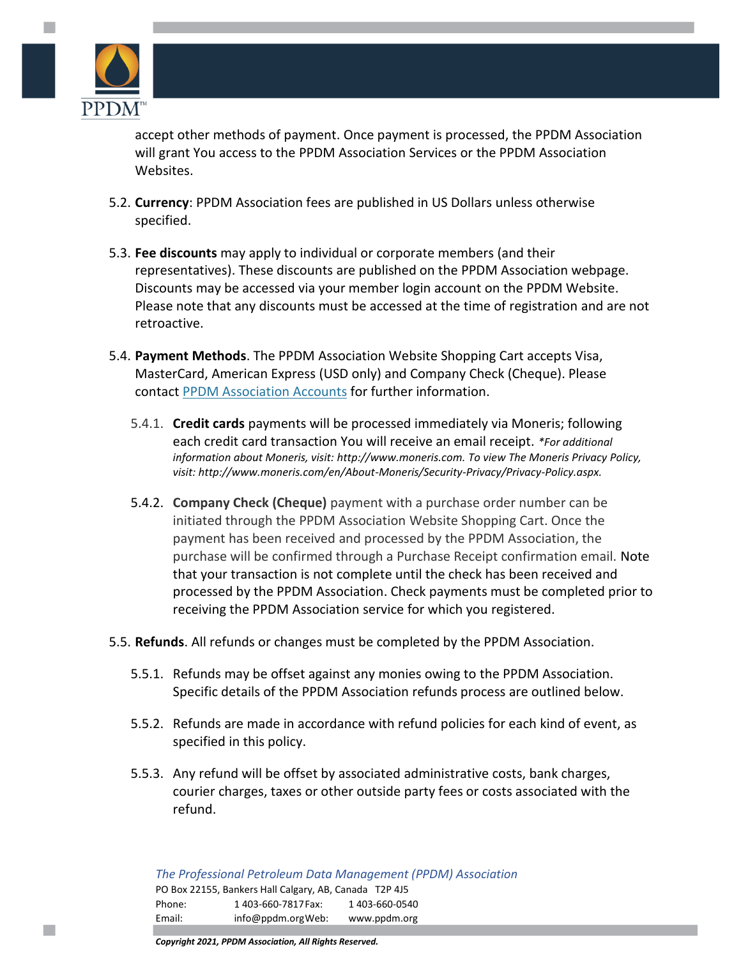

m,

accept other methods of payment. Once payment is processed, the PPDM Association will grant You access to the PPDM Association Services or the PPDM Association Websites.

- 5.2. **Currency**: PPDM Association fees are published in US Dollars unless otherwise specified.
- 5.3. **Fee discounts** may apply to individual or corporate members (and their representatives). These discounts are published on the PPDM Association webpage. Discounts may be accessed via your member login account on the PPDM Website. Please note that any discounts must be accessed at the time of registration and are not retroactive.
- 5.4. **Payment Methods**. The PPDM Association Website Shopping Cart accepts Visa, MasterCard, American Express (USD only) and Company Check (Cheque). Please contact [PPDM Association](mailto:training_accounts@ppdm.org) Accounts for further information.
	- 5.4.1. **Credit cards** payments will be processed immediately via Moneris; following each credit card transaction You will receive an email receipt. *\*For additional information about Moneris, visit: [http://www.moneris.com.](http://www.moneris.com/) To view The Moneris Privacy Policy, visit: [http://www.moneris.com/en/About-Moneris/Security-Privacy/Privacy-Policy.aspx.](http://www.moneris.com/en/About-Moneris/Security-Privacy/Privacy-Policy.aspx)*
	- 5.4.2. **Company Check (Cheque)** payment with a purchase order number can be initiated through the PPDM Association Website Shopping Cart. Once the payment has been received and processed by the PPDM Association, the purchase will be confirmed through a Purchase Receipt confirmation email. Note that your transaction is not complete until the check has been received and processed by the PPDM Association. Check payments must be completed prior to receiving the PPDM Association service for which you registered.
- 5.5. **Refunds**. All refunds or changes must be completed by the PPDM Association.
	- 5.5.1. Refunds may be offset against any monies owing to the PPDM Association. Specific details of the PPDM Association refunds process are outlined below.
	- 5.5.2. Refunds are made in accordance with refund policies for each kind of event, as specified in this policy.
	- 5.5.3. Any refund will be offset by associated administrative costs, bank charges, courier charges, taxes or other outside party fees or costs associated with the refund.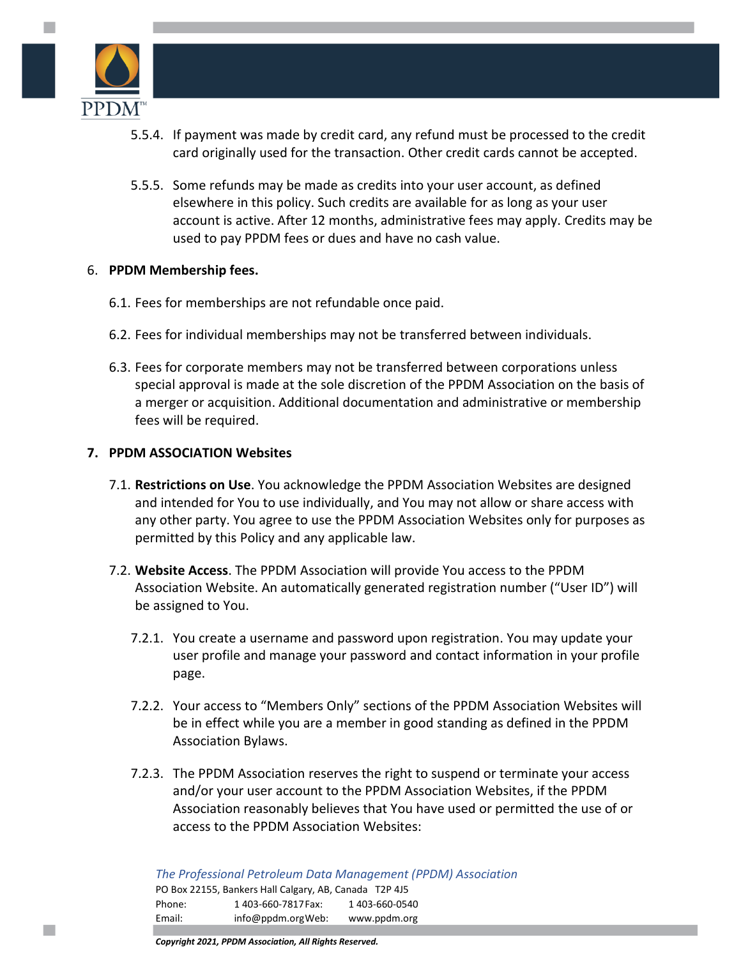

m,

- 5.5.4. If payment was made by credit card, any refund must be processed to the credit card originally used for the transaction. Other credit cards cannot be accepted.
- 5.5.5. Some refunds may be made as credits into your user account, as defined elsewhere in this policy. Such credits are available for as long as your user account is active. After 12 months, administrative fees may apply. Credits may be used to pay PPDM fees or dues and have no cash value.

#### 6. **PPDM Membership fees.**

- 6.1. Fees for memberships are not refundable once paid.
- 6.2. Fees for individual memberships may not be transferred between individuals.
- 6.3. Fees for corporate members may not be transferred between corporations unless special approval is made at the sole discretion of the PPDM Association on the basis of a merger or acquisition. Additional documentation and administrative or membership fees will be required.

## **7. PPDM ASSOCIATION Websites**

- 7.1. **Restrictions on Use**. You acknowledge the PPDM Association Websites are designed and intended for You to use individually, and You may not allow or share access with any other party. You agree to use the PPDM Association Websites only for purposes as permitted by this Policy and any applicable law.
- 7.2. **Website Access**. The PPDM Association will provide You access to the PPDM Association Website. An automatically generated registration number ("User ID") will be assigned to You.
	- 7.2.1. You create a username and password upon registration. You may update your user profile and manage your password and contact information in your profile page.
	- 7.2.2. Your access to "Members Only" sections of the PPDM Association Websites will be in effect while you are a member in good standing as defined in the PPDM Association Bylaws.
	- 7.2.3. The PPDM Association reserves the right to suspend or terminate your access and/or your user account to the PPDM Association Websites, if the PPDM Association reasonably believes that You have used or permitted the use of or access to the PPDM Association Websites: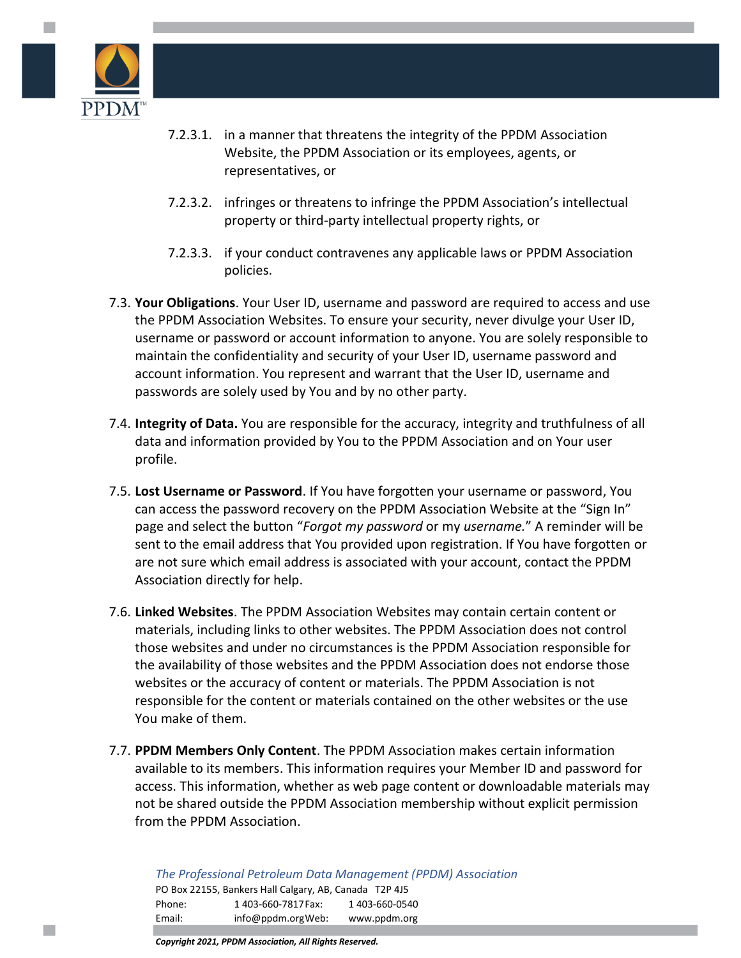

m,

- 7.2.3.1. in a manner that threatens the integrity of the PPDM Association Website, the PPDM Association or its employees, agents, or representatives, or
- 7.2.3.2. infringes or threatens to infringe the PPDM Association's intellectual property or third-party intellectual property rights, or
- 7.2.3.3. if your conduct contravenes any applicable laws or PPDM Association policies.
- 7.3. **Your Obligations**. Your User ID, username and password are required to access and use the PPDM Association Websites. To ensure your security, never divulge your User ID, username or password or account information to anyone. You are solely responsible to maintain the confidentiality and security of your User ID, username password and account information. You represent and warrant that the User ID, username and passwords are solely used by You and by no other party.
- 7.4. **Integrity of Data.** You are responsible for the accuracy, integrity and truthfulness of all data and information provided by You to the PPDM Association and on Your user profile.
- 7.5. **Lost Username or Password**. If You have forgotten your username or password, You can access the password recovery on the PPDM Association Website at the "Sign In" page and select the button "*Forgot my password* or my *username.*" A reminder will be sent to the email address that You provided upon registration. If You have forgotten or are not sure which email address is associated with your account, contact the PPDM Association directly for help.
- 7.6. **Linked Websites**. The PPDM Association Websites may contain certain content or materials, including links to other websites. The PPDM Association does not control those websites and under no circumstances is the PPDM Association responsible for the availability of those websites and the PPDM Association does not endorse those websites or the accuracy of content or materials. The PPDM Association is not responsible for the content or materials contained on the other websites or the use You make of them.
- 7.7. **PPDM Members Only Content**. The PPDM Association makes certain information available to its members. This information requires your Member ID and password for access. This information, whether as web page content or downloadable materials may not be shared outside the PPDM Association membership without explicit permission from the PPDM Association.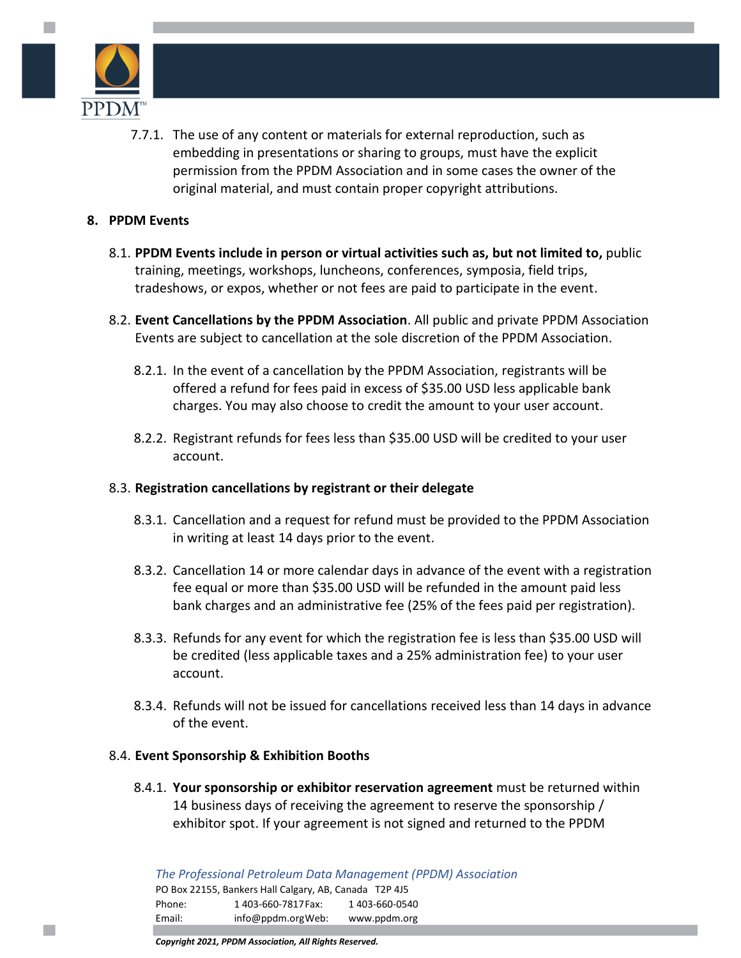

m,

7.7.1. The use of any content or materials for external reproduction, such as embedding in presentations or sharing to groups, must have the explicit permission from the PPDM Association and in some cases the owner of the original material, and must contain proper copyright attributions.

#### **8. PPDM Events**

- 8.1. **PPDM Events include in person or virtual activities such as, but not limited to,** public training, meetings, workshops, luncheons, conferences, symposia, field trips, tradeshows, or expos, whether or not fees are paid to participate in the event.
- 8.2. **Event Cancellations by the PPDM Association**. All public and private PPDM Association Events are subject to cancellation at the sole discretion of the PPDM Association.
	- 8.2.1. In the event of a cancellation by the PPDM Association, registrants will be offered a refund for fees paid in excess of \$35.00 USD less applicable bank charges. You may also choose to credit the amount to your user account.
	- 8.2.2. Registrant refunds for fees less than \$35.00 USD will be credited to your user account.

#### 8.3. **Registration cancellations by registrant or their delegate**

- 8.3.1. Cancellation and a request for refund must be provided to the PPDM Association in writing at least 14 days prior to the event.
- 8.3.2. Cancellation 14 or more calendar days in advance of the event with a registration fee equal or more than \$35.00 USD will be refunded in the amount paid less bank charges and an administrative fee (25% of the fees paid per registration).
- 8.3.3. Refunds for any event for which the registration fee is less than \$35.00 USD will be credited (less applicable taxes and a 25% administration fee) to your user account.
- 8.3.4. Refunds will not be issued for cancellations received less than 14 days in advance of the event.

#### 8.4. **Event Sponsorship & Exhibition Booths**

8.4.1. **Your sponsorship or exhibitor reservation agreement** must be returned within 14 business days of receiving the agreement to reserve the sponsorship / exhibitor spot. If your agreement is not signed and returned to the PPDM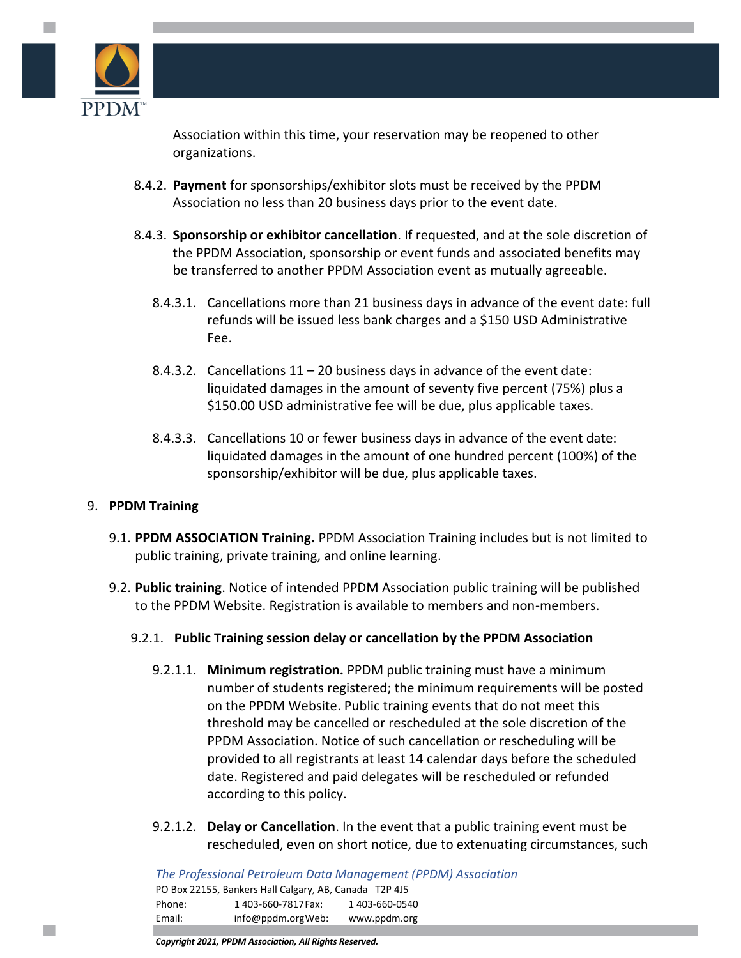

Association within this time, your reservation may be reopened to other organizations.

- 8.4.2. **Payment** for sponsorships/exhibitor slots must be received by the PPDM Association no less than 20 business days prior to the event date.
- 8.4.3. **Sponsorship or exhibitor cancellation**. If requested, and at the sole discretion of the PPDM Association, sponsorship or event funds and associated benefits may be transferred to another PPDM Association event as mutually agreeable.
	- 8.4.3.1. Cancellations more than 21 business days in advance of the event date: full refunds will be issued less bank charges and a \$150 USD Administrative Fee.
	- 8.4.3.2. Cancellations  $11 20$  business days in advance of the event date: liquidated damages in the amount of seventy five percent (75%) plus a \$150.00 USD administrative fee will be due, plus applicable taxes.
	- 8.4.3.3. Cancellations 10 or fewer business days in advance of the event date: liquidated damages in the amount of one hundred percent (100%) of the sponsorship/exhibitor will be due, plus applicable taxes.

# 9. **PPDM Training**

- 9.1. **PPDM ASSOCIATION Training.** PPDM Association Training includes but is not limited to public training, private training, and online learning.
- 9.2. **Public training**. Notice of intended PPDM Association public training will be published to the PPDM Website. Registration is available to members and non-members.

# 9.2.1. **Public Training session delay or cancellation by the PPDM Association**

- 9.2.1.1. **Minimum registration.** PPDM public training must have a minimum number of students registered; the minimum requirements will be posted on the PPDM Website. Public training events that do not meet this threshold may be cancelled or rescheduled at the sole discretion of the PPDM Association. Notice of such cancellation or rescheduling will be provided to all registrants at least 14 calendar days before the scheduled date. Registered and paid delegates will be rescheduled or refunded according to this policy.
- 9.2.1.2. **Delay or Cancellation**. In the event that a public training event must be rescheduled, even on short notice, due to extenuating circumstances, such

*The Professional Petroleum Data Management (PPDM) Association* PO Box 22155, Bankers Hall Calgary, AB, Canada T2P 4J5 Phone: 1 403-660-7817 Fax: 1 403-660-0540 Email: [info@ppdm.orgW](mailto:info@ppdm.org)eb: www.ppdm.org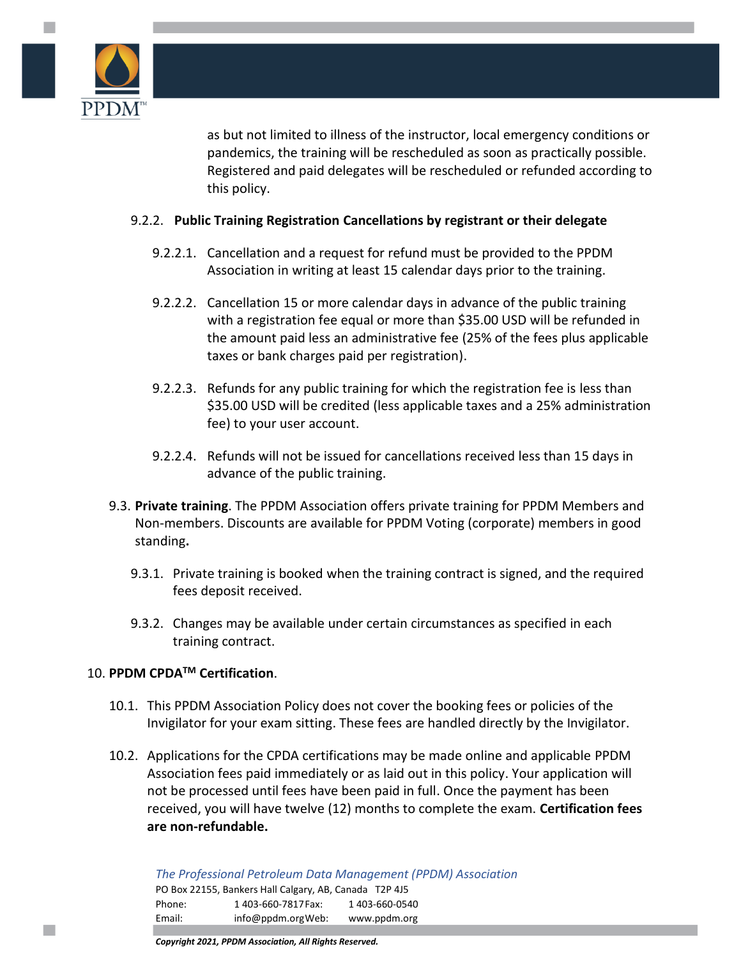

as but not limited to illness of the instructor, local emergency conditions or pandemics, the training will be rescheduled as soon as practically possible. Registered and paid delegates will be rescheduled or refunded according to this policy.

## 9.2.2. **Public Training Registration Cancellations by registrant or their delegate**

- 9.2.2.1. Cancellation and a request for refund must be provided to the PPDM Association in writing at least 15 calendar days prior to the training.
- 9.2.2.2. Cancellation 15 or more calendar days in advance of the public training with a registration fee equal or more than \$35.00 USD will be refunded in the amount paid less an administrative fee (25% of the fees plus applicable taxes or bank charges paid per registration).
- 9.2.2.3. Refunds for any public training for which the registration fee is less than \$35.00 USD will be credited (less applicable taxes and a 25% administration fee) to your user account.
- 9.2.2.4. Refunds will not be issued for cancellations received less than 15 days in advance of the public training.
- 9.3. **Private training**. The PPDM Association offers private training for PPDM Members and Non-members. Discounts are available for PPDM Voting (corporate) members in good standing**.** 
	- 9.3.1. Private training is booked when the training contract is signed, and the required fees deposit received.
	- 9.3.2. Changes may be available under certain circumstances as specified in each training contract.

# 10. **PPDM CPDATM Certification**.

- 10.1. This PPDM Association Policy does not cover the booking fees or policies of the Invigilator for your exam sitting. These fees are handled directly by the Invigilator.
- 10.2. Applications for the CPDA certifications may be made online and applicable PPDM Association fees paid immediately or as laid out in this policy. Your application will not be processed until fees have been paid in full. Once the payment has been received, you will have twelve (12) months to complete the exam. **Certification fees are non-refundable.**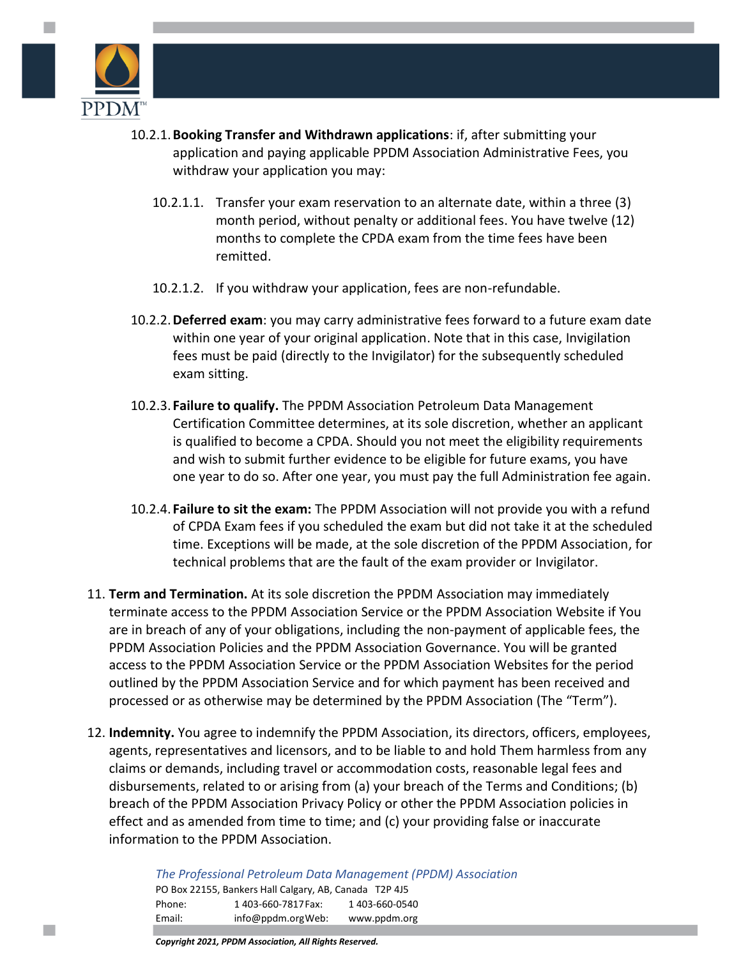

- 10.2.1.**Booking Transfer and Withdrawn applications**: if, after submitting your application and paying applicable PPDM Association Administrative Fees, you withdraw your application you may:
	- 10.2.1.1. Transfer your exam reservation to an alternate date, within a three (3) month period, without penalty or additional fees. You have twelve (12) months to complete the CPDA exam from the time fees have been remitted.
	- 10.2.1.2. If you withdraw your application, fees are non-refundable.
- 10.2.2.**Deferred exam**: you may carry administrative fees forward to a future exam date within one year of your original application. Note that in this case, Invigilation fees must be paid (directly to the Invigilator) for the subsequently scheduled exam sitting.
- 10.2.3. **Failure to qualify.** The PPDM Association Petroleum Data Management Certification Committee determines, at its sole discretion, whether an applicant is qualified to become a CPDA. Should you not meet the eligibility requirements and wish to submit further evidence to be eligible for future exams, you have one year to do so. After one year, you must pay the full Administration fee again.
- 10.2.4. **Failure to sit the exam:** The PPDM Association will not provide you with a refund of CPDA Exam fees if you scheduled the exam but did not take it at the scheduled time. Exceptions will be made, at the sole discretion of the PPDM Association, for technical problems that are the fault of the exam provider or Invigilator.
- 11. **Term and Termination.** At its sole discretion the PPDM Association may immediately terminate access to the PPDM Association Service or the PPDM Association Website if You are in breach of any of your obligations, including the non-payment of applicable fees, the PPDM Association Policies and the PPDM Association Governance. You will be granted access to the PPDM Association Service or the PPDM Association Websites for the period outlined by the PPDM Association Service and for which payment has been received and processed or as otherwise may be determined by the PPDM Association (The "Term").
- 12. **Indemnity.** You agree to indemnify the PPDM Association, its directors, officers, employees, agents, representatives and licensors, and to be liable to and hold Them harmless from any claims or demands, including travel or accommodation costs, reasonable legal fees and disbursements, related to or arising from (a) your breach of the Terms and Conditions; (b) breach of the PPDM Association Privacy Policy or other the PPDM Association policies in effect and as amended from time to time; and (c) your providing false or inaccurate information to the PPDM Association.

*The Professional Petroleum Data Management (PPDM) Association* PO Box 22155, Bankers Hall Calgary, AB, Canada T2P 4J5 Phone: 1 403-660-7817 Fax: 1 403-660-0540 Email: [info@ppdm.orgW](mailto:info@ppdm.org)eb: www.ppdm.org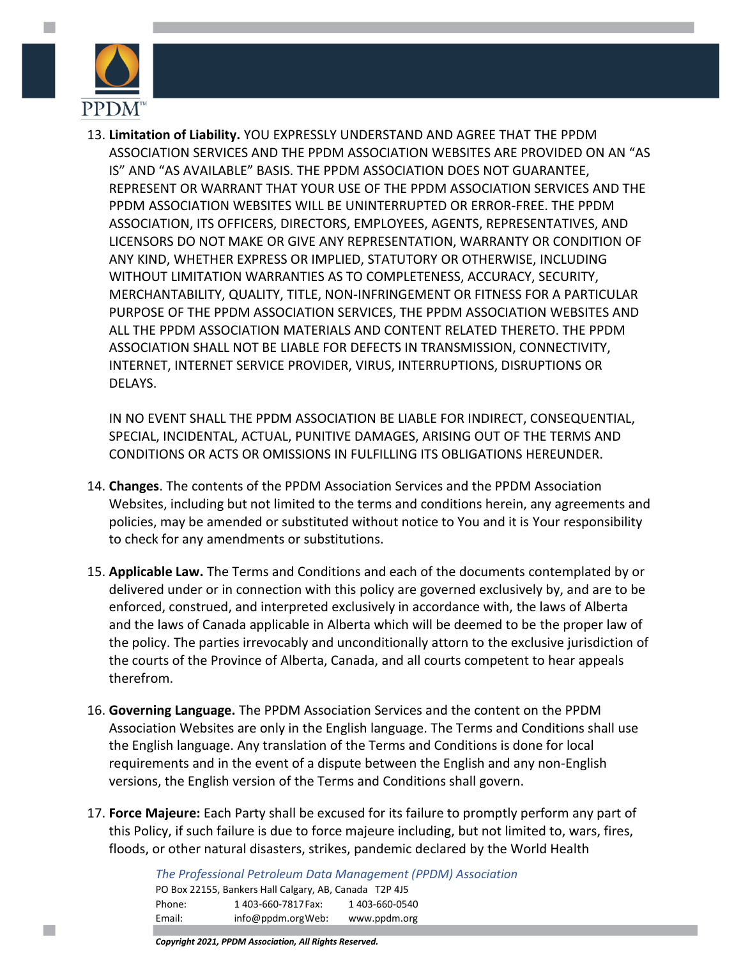

**College** 

13. **Limitation of Liability.** YOU EXPRESSLY UNDERSTAND AND AGREE THAT THE PPDM ASSOCIATION SERVICES AND THE PPDM ASSOCIATION WEBSITES ARE PROVIDED ON AN "AS IS" AND "AS AVAILABLE" BASIS. THE PPDM ASSOCIATION DOES NOT GUARANTEE, REPRESENT OR WARRANT THAT YOUR USE OF THE PPDM ASSOCIATION SERVICES AND THE PPDM ASSOCIATION WEBSITES WILL BE UNINTERRUPTED OR ERROR-FREE. THE PPDM ASSOCIATION, ITS OFFICERS, DIRECTORS, EMPLOYEES, AGENTS, REPRESENTATIVES, AND LICENSORS DO NOT MAKE OR GIVE ANY REPRESENTATION, WARRANTY OR CONDITION OF ANY KIND, WHETHER EXPRESS OR IMPLIED, STATUTORY OR OTHERWISE, INCLUDING WITHOUT LIMITATION WARRANTIES AS TO COMPLETENESS, ACCURACY, SECURITY, MERCHANTABILITY, QUALITY, TITLE, NON-INFRINGEMENT OR FITNESS FOR A PARTICULAR PURPOSE OF THE PPDM ASSOCIATION SERVICES, THE PPDM ASSOCIATION WEBSITES AND ALL THE PPDM ASSOCIATION MATERIALS AND CONTENT RELATED THERETO. THE PPDM ASSOCIATION SHALL NOT BE LIABLE FOR DEFECTS IN TRANSMISSION, CONNECTIVITY, INTERNET, INTERNET SERVICE PROVIDER, VIRUS, INTERRUPTIONS, DISRUPTIONS OR DELAYS.

IN NO EVENT SHALL THE PPDM ASSOCIATION BE LIABLE FOR INDIRECT, CONSEQUENTIAL, SPECIAL, INCIDENTAL, ACTUAL, PUNITIVE DAMAGES, ARISING OUT OF THE TERMS AND CONDITIONS OR ACTS OR OMISSIONS IN FULFILLING ITS OBLIGATIONS HEREUNDER.

- 14. **Changes**. The contents of the PPDM Association Services and the PPDM Association Websites, including but not limited to the terms and conditions herein, any agreements and policies, may be amended or substituted without notice to You and it is Your responsibility to check for any amendments or substitutions.
- 15. **Applicable Law.** The Terms and Conditions and each of the documents contemplated by or delivered under or in connection with this policy are governed exclusively by, and are to be enforced, construed, and interpreted exclusively in accordance with, the laws of Alberta and the laws of Canada applicable in Alberta which will be deemed to be the proper law of the policy. The parties irrevocably and unconditionally attorn to the exclusive jurisdiction of the courts of the Province of Alberta, Canada, and all courts competent to hear appeals therefrom.
- 16. **Governing Language.** The PPDM Association Services and the content on the PPDM Association Websites are only in the English language. The Terms and Conditions shall use the English language. Any translation of the Terms and Conditions is done for local requirements and in the event of a dispute between the English and any non-English versions, the English version of the Terms and Conditions shall govern.
- 17. **Force Majeure:** Each Party shall be excused for its failure to promptly perform any part of this Policy, if such failure is due to force majeure including, but not limited to, wars, fires, floods, or other natural disasters, strikes, pandemic declared by the World Health

*The Professional Petroleum Data Management (PPDM) Association* PO Box 22155, Bankers Hall Calgary, AB, Canada T2P 4J5 Phone: 1 403-660-7817 Fax: 1 403-660-0540 Email: [info@ppdm.orgW](mailto:info@ppdm.org)eb: www.ppdm.org